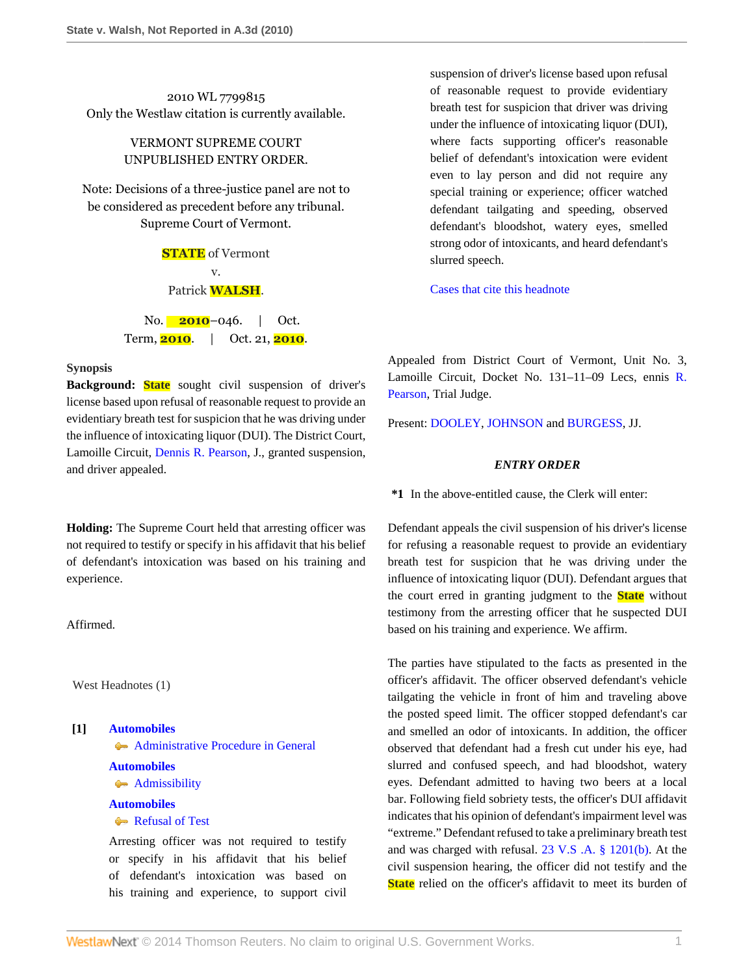2010 WL 7799815 Only the Westlaw citation is currently available.

# VERMONT SUPREME COURT UNPUBLISHED ENTRY ORDER.

Note: Decisions of a three-justice panel are not to be considered as precedent before any tribunal. Supreme Court of Vermont.

> **STATE** of Vermont v. Patrick **WALSH**.

No. **2010**–046. | Oct. Term, **2010**. | Oct. 21, **2010**.

#### **Synopsis**

**Background: State** sought civil suspension of driver's license based upon refusal of reasonable request to provide an evidentiary breath test for suspicion that he was driving under the influence of intoxicating liquor (DUI). The District Court, Lamoille Circuit, [Dennis R. Pearson,](http://www.westlaw.com/Link/Document/FullText?findType=h&pubNum=176284&cite=0154516604&originatingDoc=I4a0540dcffd511e08b448cf533780ea2&refType=RQ&originationContext=document&vr=3.0&rs=cblt1.0&transitionType=DocumentItem&contextData=(sc.Search)) J., granted suspension, and driver appealed.

**Holding:** The Supreme Court held that arresting officer was not required to testify or specify in his affidavit that his belief of defendant's intoxication was based on his training and experience.

Affirmed.

West Headnotes (1)

**[1] [Automobiles](http://www.westlaw.com/Browse/Home/KeyNumber/48A/View.html?docGuid=I4a0540dcffd511e08b448cf533780ea2&originationContext=document&vr=3.0&rs=cblt1.0&transitionType=DocumentItem&contextData=(sc.Search))**

**[Administrative Procedure in General](http://www.westlaw.com/Browse/Home/KeyNumber/48Ak144.2(1)/View.html?docGuid=I4a0540dcffd511e08b448cf533780ea2&originationContext=document&vr=3.0&rs=cblt1.0&transitionType=DocumentItem&contextData=(sc.Search))** 

### **[Automobiles](http://www.westlaw.com/Browse/Home/KeyNumber/48A/View.html?docGuid=I4a0540dcffd511e08b448cf533780ea2&originationContext=document&vr=3.0&rs=cblt1.0&transitionType=DocumentItem&contextData=(sc.Search))**

**[Admissibility](http://www.westlaw.com/Browse/Home/KeyNumber/48Ak144.2(9.7)/View.html?docGuid=I4a0540dcffd511e08b448cf533780ea2&originationContext=document&vr=3.0&rs=cblt1.0&transitionType=DocumentItem&contextData=(sc.Search))** 

## **[Automobiles](http://www.westlaw.com/Browse/Home/KeyNumber/48A/View.html?docGuid=I4a0540dcffd511e08b448cf533780ea2&originationContext=document&vr=3.0&rs=cblt1.0&transitionType=DocumentItem&contextData=(sc.Search))**

[Refusal of Test](http://www.westlaw.com/Browse/Home/KeyNumber/48Ak144.2(10.3)/View.html?docGuid=I4a0540dcffd511e08b448cf533780ea2&originationContext=document&vr=3.0&rs=cblt1.0&transitionType=DocumentItem&contextData=(sc.Search))

Arresting officer was not required to testify or specify in his affidavit that his belief of defendant's intoxication was based on his training and experience, to support civil

suspension of driver's license based upon refusal of reasonable request to provide evidentiary breath test for suspicion that driver was driving under the influence of intoxicating liquor (DUI), where facts supporting officer's reasonable belief of defendant's intoxication were evident even to lay person and did not require any special training or experience; officer watched defendant tailgating and speeding, observed defendant's bloodshot, watery eyes, smelled strong odor of intoxicants, and heard defendant's slurred speech.

[Cases that cite this headnote](http://www.westlaw.com/Link/RelatedInformation/DocHeadnoteLink?docGuid=I4a0540dcffd511e08b448cf533780ea2&headnoteId=202639934400020111130&originationContext=document&vr=3.0&rs=cblt1.0&transitionType=CitingReferences&contextData=(sc.Search))

Appealed from District Court of Vermont, Unit No. 3, Lamoille Circuit, Docket No. 131–11–09 Lecs, ennis [R.](http://www.westlaw.com/Link/Document/FullText?findType=h&pubNum=176284&cite=0157921701&originatingDoc=I4a0540dcffd511e08b448cf533780ea2&refType=RQ&originationContext=document&vr=3.0&rs=cblt1.0&transitionType=DocumentItem&contextData=(sc.Search)) [Pearson,](http://www.westlaw.com/Link/Document/FullText?findType=h&pubNum=176284&cite=0157921701&originatingDoc=I4a0540dcffd511e08b448cf533780ea2&refType=RQ&originationContext=document&vr=3.0&rs=cblt1.0&transitionType=DocumentItem&contextData=(sc.Search)) Trial Judge.

Present: [DOOLEY,](http://www.westlaw.com/Link/Document/FullText?findType=h&pubNum=176284&cite=0264531601&originatingDoc=I4a0540dcffd511e08b448cf533780ea2&refType=RQ&originationContext=document&vr=3.0&rs=cblt1.0&transitionType=DocumentItem&contextData=(sc.Search)) [JOHNSON](http://www.westlaw.com/Link/Document/FullText?findType=h&pubNum=176284&cite=0230836001&originatingDoc=I4a0540dcffd511e08b448cf533780ea2&refType=RQ&originationContext=document&vr=3.0&rs=cblt1.0&transitionType=DocumentItem&contextData=(sc.Search)) and [BURGESS,](http://www.westlaw.com/Link/Document/FullText?findType=h&pubNum=176284&cite=0119873701&originatingDoc=I4a0540dcffd511e08b448cf533780ea2&refType=RQ&originationContext=document&vr=3.0&rs=cblt1.0&transitionType=DocumentItem&contextData=(sc.Search)) JJ.

### *ENTRY ORDER*

**\*1** In the above-entitled cause, the Clerk will enter:

Defendant appeals the civil suspension of his driver's license for refusing a reasonable request to provide an evidentiary breath test for suspicion that he was driving under the influence of intoxicating liquor (DUI). Defendant argues that the court erred in granting judgment to the **State** without testimony from the arresting officer that he suspected DUI based on his training and experience. We affirm.

The parties have stipulated to the facts as presented in the officer's affidavit. The officer observed defendant's vehicle tailgating the vehicle in front of him and traveling above the posted speed limit. The officer stopped defendant's car and smelled an odor of intoxicants. In addition, the officer observed that defendant had a fresh cut under his eye, had slurred and confused speech, and had bloodshot, watery eyes. Defendant admitted to having two beers at a local bar. Following field sobriety tests, the officer's DUI affidavit indicates that his opinion of defendant's impairment level was "extreme." Defendant refused to take a preliminary breath test and was charged with refusal. [23 V.S .A. § 1201\(b\).](http://www.westlaw.com/Link/Document/FullText?findType=L&pubNum=1000883&cite=VTST23S1201&originatingDoc=I4a0540dcffd511e08b448cf533780ea2&refType=SP&originationContext=document&vr=3.0&rs=cblt1.0&transitionType=DocumentItem&contextData=(sc.Search)#co_pp_a83b000018c76) At the civil suspension hearing, the officer did not testify and the **State** relied on the officer's affidavit to meet its burden of